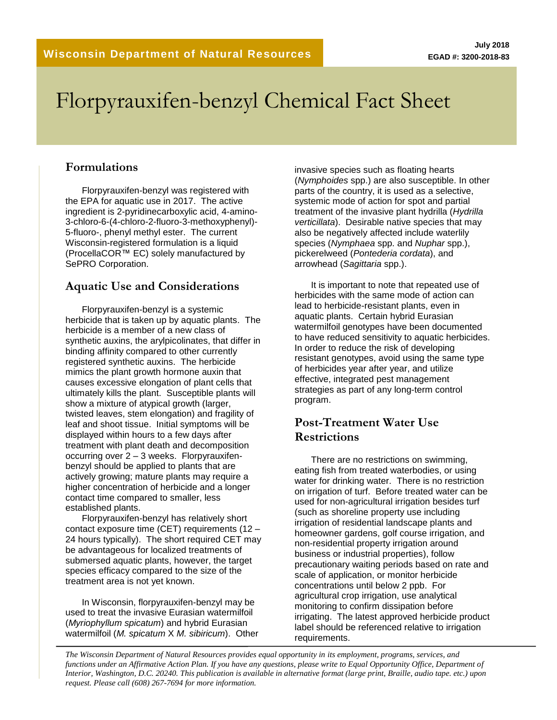# Florpyrauxifen-benzyl Chemical Fact Sheet

#### **Formulations**

Florpyrauxifen-benzyl was registered with the EPA for aquatic use in 2017. The active ingredient is 2-pyridinecarboxylic acid, 4-amino-3-chloro-6-(4-chloro-2-fluoro-3-methoxyphenyl)- 5-fluoro-, phenyl methyl ester. The current Wisconsin-registered formulation is a liquid (ProcellaCOR™ EC) solely manufactured by SePRO Corporation.

#### **Aquatic Use and Considerations**

Florpyrauxifen-benzyl is a systemic herbicide that is taken up by aquatic plants. The herbicide is a member of a new class of synthetic auxins, the arylpicolinates, that differ in binding affinity compared to other currently registered synthetic auxins. The herbicide mimics the plant growth hormone auxin that causes excessive elongation of plant cells that ultimately kills the plant. Susceptible plants will show a mixture of atypical growth (larger, twisted leaves, stem elongation) and fragility of leaf and shoot tissue. Initial symptoms will be displayed within hours to a few days after treatment with plant death and decomposition occurring over 2 – 3 weeks. Florpyrauxifenbenzyl should be applied to plants that are actively growing; mature plants may require a higher concentration of herbicide and a longer contact time compared to smaller, less established plants.

Florpyrauxifen-benzyl has relatively short contact exposure time (CET) requirements (12 – 24 hours typically). The short required CET may be advantageous for localized treatments of submersed aquatic plants, however, the target species efficacy compared to the size of the treatment area is not yet known.

In Wisconsin, florpyrauxifen-benzyl may be used to treat the invasive Eurasian watermilfoil (*Myriophyllum spicatum*) and hybrid Eurasian watermilfoil (*M. spicatum* X *M. sibiricum*). Other invasive species such as floating hearts (*Nymphoides* spp.) are also susceptible. In other parts of the country, it is used as a selective, systemic mode of action for spot and partial treatment of the invasive plant hydrilla (*Hydrilla verticillata*). Desirable native species that may also be negatively affected include waterlily species (*Nymphaea* spp. and *Nuphar* spp.), pickerelweed (*Pontederia cordata*), and arrowhead (*Sagittaria* spp.).

It is important to note that repeated use of herbicides with the same mode of action can lead to herbicide-resistant plants, even in aquatic plants. Certain hybrid Eurasian watermilfoil genotypes have been documented to have reduced sensitivity to aquatic herbicides. In order to reduce the risk of developing resistant genotypes, avoid using the same type of herbicides year after year, and utilize effective, integrated pest management strategies as part of any long-term control program.

#### **Post-Treatment Water Use Restrictions**

There are no restrictions on swimming, eating fish from treated waterbodies, or using water for drinking water. There is no restriction on irrigation of turf. Before treated water can be used for non-agricultural irrigation besides turf (such as shoreline property use including irrigation of residential landscape plants and homeowner gardens, golf course irrigation, and non-residential property irrigation around business or industrial properties), follow precautionary waiting periods based on rate and scale of application, or monitor herbicide concentrations until below 2 ppb. For agricultural crop irrigation, use analytical monitoring to confirm dissipation before irrigating. The latest approved herbicide product label should be referenced relative to irrigation requirements.

*The Wisconsin Department of Natural Resources provides equal opportunity in its employment, programs, services, and functions under an Affirmative Action Plan. If you have any questions, please write to Equal Opportunity Office, Department of Interior, Washington, D.C. 20240. This publication is available in alternative format (large print, Braille, audio tape. etc.) upon request. Please call (608) 267-7694 for more information.*